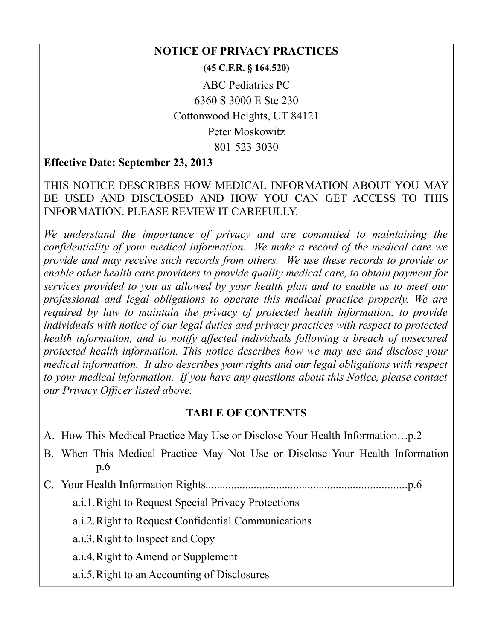#### **NOTICE OF PRIVACY PRACTICES**

**(45 C.F.R. § 164.520)**

ABC Pediatrics PC 6360 S 3000 E Ste 230 Cottonwood Heights, UT 84121 Peter Moskowitz 801-523-3030

### **Effective Date: September 23, 2013**

### THIS NOTICE DESCRIBES HOW MEDICAL INFORMATION ABOUT YOU MAY BE USED AND DISCLOSED AND HOW YOU CAN GET ACCESS TO THIS INFORMATION. PLEASE REVIEW IT CAREFULLY.

*We understand the importance of privacy and are committed to maintaining the confidentiality of your medical information. We make a record of the medical care we provide and may receive such records from others. We use these records to provide or enable other health care providers to provide quality medical care, to obtain payment for services provided to you as allowed by your health plan and to enable us to meet our professional and legal obligations to operate this medical practice properly. We are required by law to maintain the privacy of protected health information, to provide individuals with notice of our legal duties and privacy practices with respect to protected health information, and to notify affected individuals following a breach of unsecured protected health information. This notice describes how we may use and disclose your medical information. It also describes your rights and our legal obligations with respect to your medical information. If you have any questions about this Notice, please contact our Privacy Officer listed above.*

#### **TABLE OF CONTENTS**

- A. How This Medical Practice May Use or Disclose Your Health Information...p.2
- B. When This Medical Practice May Not Use or Disclose Your Health Information p.6
- C. Your Health Information Rights.......................................................................p.6

a.i.1.Right to Request Special Privacy Protections

a.i.2.Right to Request Confidential Communications

a.i.3.Right to Inspect and Copy

a.i.4.Right to Amend or Supplement

a.i.5.Right to an Accounting of Disclosures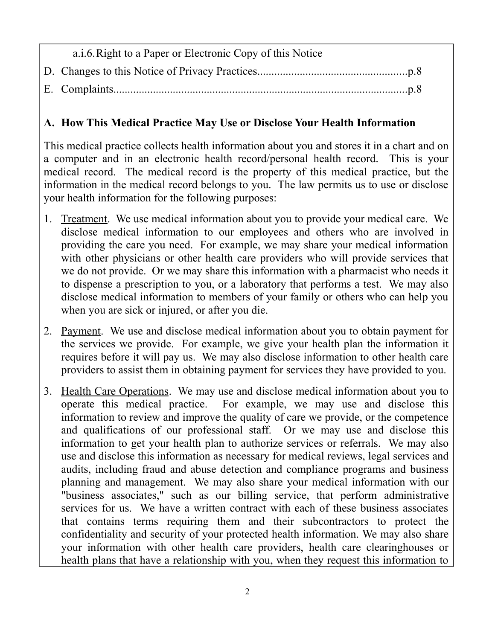| a.i.6. Right to a Paper or Electronic Copy of this Notice |
|-----------------------------------------------------------|
|                                                           |
|                                                           |

## **A. How This Medical Practice May Use or Disclose Your Health Information**

This medical practice collects health information about you and stores it in a chart and on a computer and in an electronic health record/personal health record. This is your medical record. The medical record is the property of this medical practice, but the information in the medical record belongs to you. The law permits us to use or disclose your health information for the following purposes:

- 1. Treatment. We use medical information about you to provide your medical care. We disclose medical information to our employees and others who are involved in providing the care you need. For example, we may share your medical information with other physicians or other health care providers who will provide services that we do not provide. Or we may share this information with a pharmacist who needs it to dispense a prescription to you, or a laboratory that performs a test. We may also disclose medical information to members of your family or others who can help you when you are sick or injured, or after you die.
- 2. Payment. We use and disclose medical information about you to obtain payment for the services we provide. For example, we give your health plan the information it requires before it will pay us. We may also disclose information to other health care providers to assist them in obtaining payment for services they have provided to you.
- 3. Health Care Operations. We may use and disclose medical information about you to operate this medical practice. For example, we may use and disclose this information to review and improve the quality of care we provide, or the competence and qualifications of our professional staff. Or we may use and disclose this information to get your health plan to authorize services or referrals. We may also use and disclose this information as necessary for medical reviews, legal services and audits, including fraud and abuse detection and compliance programs and business planning and management. We may also share your medical information with our "business associates," such as our billing service, that perform administrative services for us. We have a written contract with each of these business associates that contains terms requiring them and their subcontractors to protect the confidentiality and security of your protected health information. We may also share your information with other health care providers, health care clearinghouses or health plans that have a relationship with you, when they request this information to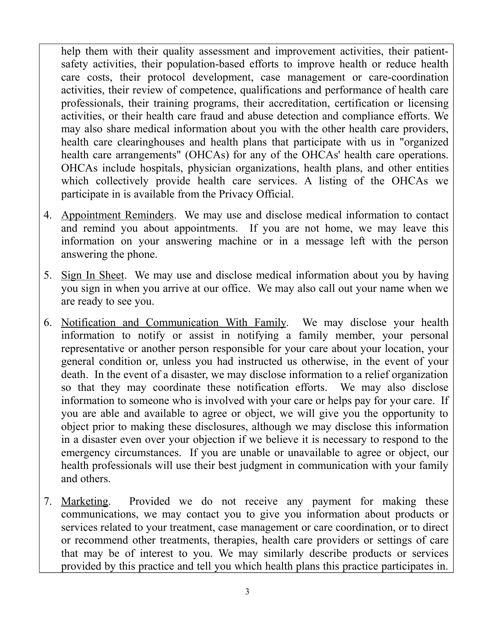help them with their quality assessment and improvement activities, their patientsafety activities, their population-based efforts to improve health or reduce health care costs, their protocol development, case management or care-coordination activities, their review of competence, qualifications and performance of health care professionals, their training programs, their accreditation, certification or licensing activities, or their health care fraud and abuse detection and compliance efforts. We may also share medical information about you with the other health care providers, health care clearinghouses and health plans that participate with us in "organized health care arrangements" (OHCAs) for any of the OHCAs' health care operations. OHCAs include hospitals, physician organizations, health plans, and other entities which collectively provide health care services. A listing of the OHCAs we participate in is available from the Privacy Official.

- 4. Appointment Reminders. We may use and disclose medical information to contact and remind you about appointments. If you are not home, we may leave this information on your answering machine or in a message left with the person answering the phone.
- 5. Sign In Sheet. We may use and disclose medical information about you by having you sign in when you arrive at our office. We may also call out your name when we are ready to see you.
- 6. Notification and Communication With Family. We may disclose your health information to notify or assist in notifying a family member, your personal representative or another person responsible for your care about your location, your general condition or, unless you had instructed us otherwise, in the event of your death. In the event of a disaster, we may disclose information to a relief organization so that they may coordinate these notification efforts. We may also disclose information to someone who is involved with your care or helps pay for your care. If you are able and available to agree or object, we will give you the opportunity to object prior to making these disclosures, although we may disclose this information in a disaster even over your objection if we believe it is necessary to respond to the emergency circumstances. If you are unable or unavailable to agree or object, our health professionals will use their best judgment in communication with your family and others.
- 7. Marketing. Provided we do not receive any payment for making these communications, we may contact you to give you information about products or services related to your treatment, case management or care coordination, or to direct or recommend other treatments, therapies, health care providers or settings of care that may be of interest to you. We may similarly describe products or services provided by this practice and tell you which health plans this practice participates in.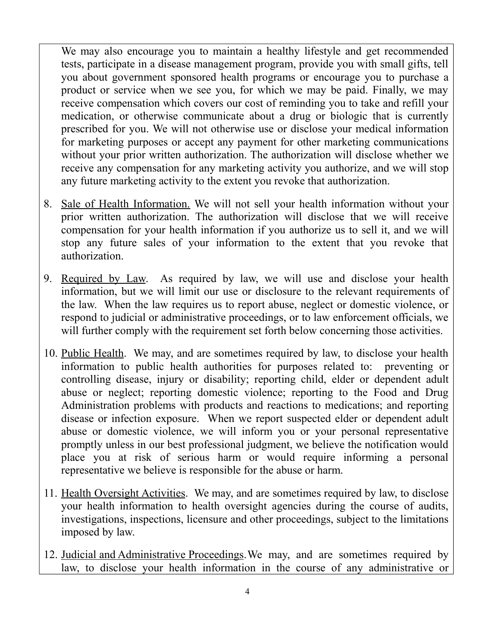We may also encourage you to maintain a healthy lifestyle and get recommended tests, participate in a disease management program, provide you with small gifts, tell you about government sponsored health programs or encourage you to purchase a product or service when we see you, for which we may be paid. Finally, we may receive compensation which covers our cost of reminding you to take and refill your medication, or otherwise communicate about a drug or biologic that is currently prescribed for you. We will not otherwise use or disclose your medical information for marketing purposes or accept any payment for other marketing communications without your prior written authorization. The authorization will disclose whether we receive any compensation for any marketing activity you authorize, and we will stop any future marketing activity to the extent you revoke that authorization.

- 8. Sale of Health Information. We will not sell your health information without your prior written authorization. The authorization will disclose that we will receive compensation for your health information if you authorize us to sell it, and we will stop any future sales of your information to the extent that you revoke that authorization.
- 9. Required by Law. As required by law, we will use and disclose your health information, but we will limit our use or disclosure to the relevant requirements of the law. When the law requires us to report abuse, neglect or domestic violence, or respond to judicial or administrative proceedings, or to law enforcement officials, we will further comply with the requirement set forth below concerning those activities.
- 10. Public Health. We may, and are sometimes required by law, to disclose your health information to public health authorities for purposes related to: preventing or controlling disease, injury or disability; reporting child, elder or dependent adult abuse or neglect; reporting domestic violence; reporting to the Food and Drug Administration problems with products and reactions to medications; and reporting disease or infection exposure. When we report suspected elder or dependent adult abuse or domestic violence, we will inform you or your personal representative promptly unless in our best professional judgment, we believe the notification would place you at risk of serious harm or would require informing a personal representative we believe is responsible for the abuse or harm.
- 11. Health Oversight Activities. We may, and are sometimes required by law, to disclose your health information to health oversight agencies during the course of audits, investigations, inspections, licensure and other proceedings, subject to the limitations imposed by law.
- 12. Judicial and Administrative Proceedings.We may, and are sometimes required by law, to disclose your health information in the course of any administrative or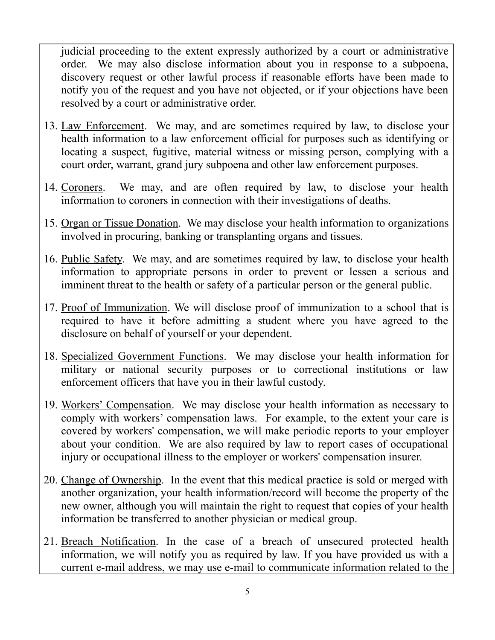judicial proceeding to the extent expressly authorized by a court or administrative order. We may also disclose information about you in response to a subpoena, discovery request or other lawful process if reasonable efforts have been made to notify you of the request and you have not objected, or if your objections have been resolved by a court or administrative order.

- 13. Law Enforcement. We may, and are sometimes required by law, to disclose your health information to a law enforcement official for purposes such as identifying or locating a suspect, fugitive, material witness or missing person, complying with a court order, warrant, grand jury subpoena and other law enforcement purposes.
- 14. Coroners. We may, and are often required by law, to disclose your health information to coroners in connection with their investigations of deaths.
- 15. Organ or Tissue Donation. We may disclose your health information to organizations involved in procuring, banking or transplanting organs and tissues.
- 16. Public Safety. We may, and are sometimes required by law, to disclose your health information to appropriate persons in order to prevent or lessen a serious and imminent threat to the health or safety of a particular person or the general public.
- 17. Proof of Immunization. We will disclose proof of immunization to a school that is required to have it before admitting a student where you have agreed to the disclosure on behalf of yourself or your dependent.
- 18. Specialized Government Functions. We may disclose your health information for military or national security purposes or to correctional institutions or law enforcement officers that have you in their lawful custody.
- 19. Workers' Compensation. We may disclose your health information as necessary to comply with workers' compensation laws. For example, to the extent your care is covered by workers' compensation, we will make periodic reports to your employer about your condition. We are also required by law to report cases of occupational injury or occupational illness to the employer or workers' compensation insurer.
- 20. Change of Ownership. In the event that this medical practice is sold or merged with another organization, your health information/record will become the property of the new owner, although you will maintain the right to request that copies of your health information be transferred to another physician or medical group.
- 21. Breach Notification. In the case of a breach of unsecured protected health information, we will notify you as required by law. If you have provided us with a current e-mail address, we may use e-mail to communicate information related to the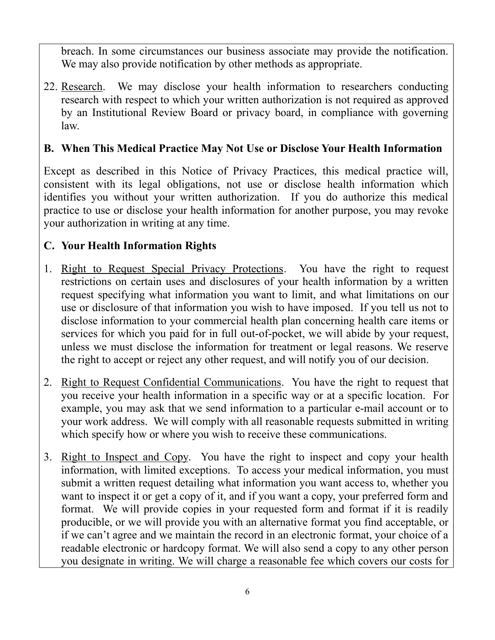breach. In some circumstances our business associate may provide the notification. We may also provide notification by other methods as appropriate.

22. Research. We may disclose your health information to researchers conducting research with respect to which your written authorization is not required as approved by an Institutional Review Board or privacy board, in compliance with governing law.

## **B. When This Medical Practice May Not Use or Disclose Your Health Information**

Except as described in this Notice of Privacy Practices, this medical practice will, consistent with its legal obligations, not use or disclose health information which identifies you without your written authorization. If you do authorize this medical practice to use or disclose your health information for another purpose, you may revoke your authorization in writing at any time.

# **C. Your Health Information Rights**

- 1. Right to Request Special Privacy Protections. You have the right to request restrictions on certain uses and disclosures of your health information by a written request specifying what information you want to limit, and what limitations on our use or disclosure of that information you wish to have imposed. If you tell us not to disclose information to your commercial health plan concerning health care items or services for which you paid for in full out-of-pocket, we will abide by your request, unless we must disclose the information for treatment or legal reasons. We reserve the right to accept or reject any other request, and will notify you of our decision.
- 2. Right to Request Confidential Communications. You have the right to request that you receive your health information in a specific way or at a specific location. For example, you may ask that we send information to a particular e-mail account or to your work address. We will comply with all reasonable requests submitted in writing which specify how or where you wish to receive these communications.
- 3. Right to Inspect and Copy. You have the right to inspect and copy your health information, with limited exceptions. To access your medical information, you must submit a written request detailing what information you want access to, whether you want to inspect it or get a copy of it, and if you want a copy, your preferred form and format. We will provide copies in your requested form and format if it is readily producible, or we will provide you with an alternative format you find acceptable, or if we can't agree and we maintain the record in an electronic format, your choice of a readable electronic or hardcopy format. We will also send a copy to any other person you designate in writing. We will charge a reasonable fee which covers our costs for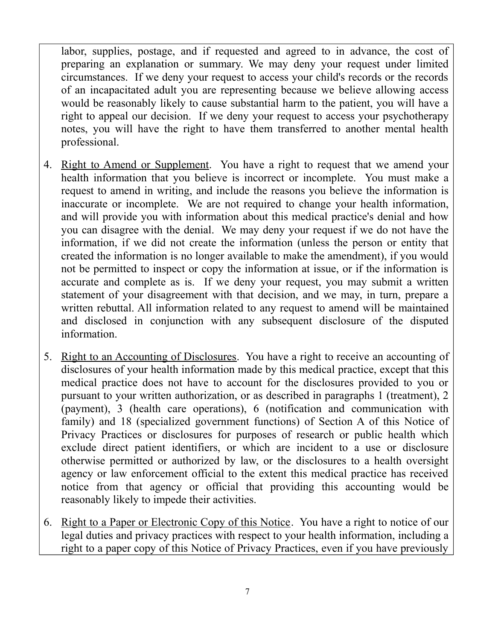labor, supplies, postage, and if requested and agreed to in advance, the cost of preparing an explanation or summary. We may deny your request under limited circumstances. If we deny your request to access your child's records or the records of an incapacitated adult you are representing because we believe allowing access would be reasonably likely to cause substantial harm to the patient, you will have a right to appeal our decision. If we deny your request to access your psychotherapy notes, you will have the right to have them transferred to another mental health professional.

- 4. Right to Amend or Supplement. You have a right to request that we amend your health information that you believe is incorrect or incomplete. You must make a request to amend in writing, and include the reasons you believe the information is inaccurate or incomplete. We are not required to change your health information, and will provide you with information about this medical practice's denial and how you can disagree with the denial. We may deny your request if we do not have the information, if we did not create the information (unless the person or entity that created the information is no longer available to make the amendment), if you would not be permitted to inspect or copy the information at issue, or if the information is accurate and complete as is. If we deny your request, you may submit a written statement of your disagreement with that decision, and we may, in turn, prepare a written rebuttal. All information related to any request to amend will be maintained and disclosed in conjunction with any subsequent disclosure of the disputed information.
- 5. Right to an Accounting of Disclosures. You have a right to receive an accounting of disclosures of your health information made by this medical practice, except that this medical practice does not have to account for the disclosures provided to you or pursuant to your written authorization, or as described in paragraphs 1 (treatment), 2 (payment), 3 (health care operations), 6 (notification and communication with family) and 18 (specialized government functions) of Section A of this Notice of Privacy Practices or disclosures for purposes of research or public health which exclude direct patient identifiers, or which are incident to a use or disclosure otherwise permitted or authorized by law, or the disclosures to a health oversight agency or law enforcement official to the extent this medical practice has received notice from that agency or official that providing this accounting would be reasonably likely to impede their activities.
- 6. Right to a Paper or Electronic Copy of this Notice. You have a right to notice of our legal duties and privacy practices with respect to your health information, including a right to a paper copy of this Notice of Privacy Practices, even if you have previously